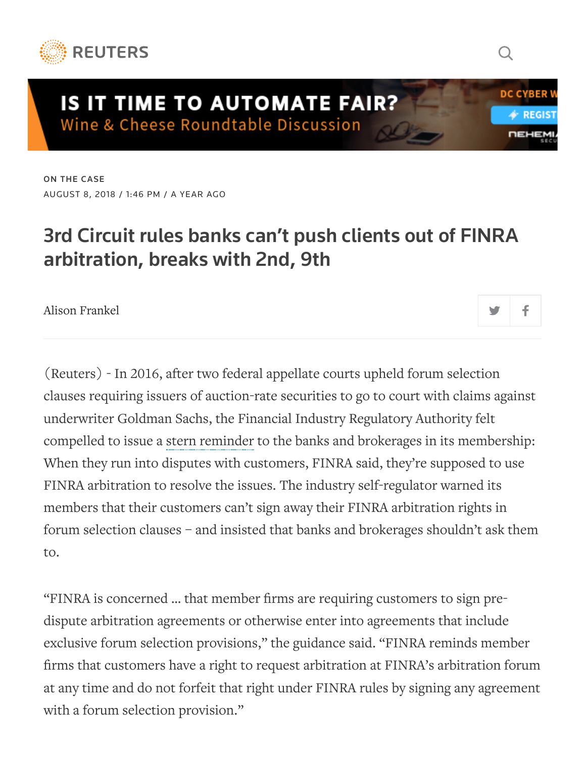

## **IS IT TIME TO AUTOMATE FAIR?** Wine & Cheese Roundtable Discussion

ON THE [CASE](https://www.reuters.com/news/archive/mcOnTheCase) AUGUST 8, 2018 / 1:46 PM / A YEAR AGO

## 3rd Circuit rules banks can't push clients out of FINRA arbitration, breaks with 2nd, 9th

Q

**DC CYBER** 

4≻ RFGI

**DEHE** 

Alison [Frankel](https://www.reuters.com/journalists/alison-frankel)

(Reuters) - In 2016, after two federal appellate courts upheld forum selection clauses requiring issuers of auction-rate securities to go to court with claims against underwriter Goldman Sachs, the Financial Industry Regulatory Authority felt compelled to issue a stern [reminder](http://www.finra.org/sites/default/files/notice_other_file_ref/Regulatory-Notice-16-25.pdf) to the banks and brokerages in its membership: When they run into disputes with customers, FINRA said, they're supposed to use FINRA arbitration to resolve the issues. The industry self-regulator warned its members that their customers can't sign away their FINRA arbitration rights in forum selection clauses – and insisted that banks and brokerages shouldn't ask them to.

"FINRA is concerned … that member firms are requiring customers to sign predispute arbitration agreements or otherwise enter into agreements that include exclusive forum selection provisions," the guidance said. "FINRA reminds member firms that customers have a right to request arbitration at FINRA's arbitration forum at any time and do not forfeit that right under FINRA rules by signing any agreement with a forum selection provision."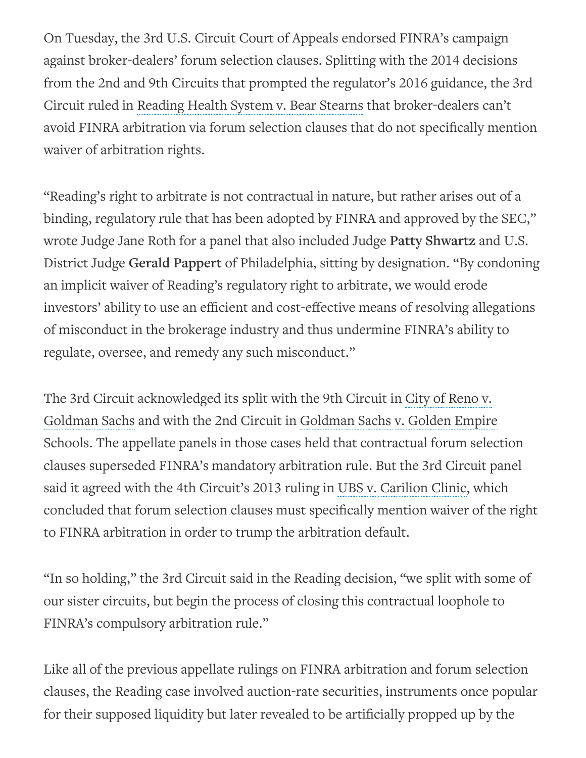On Tuesday, the 3rd U.S. Circuit Court of Appeals endorsed FINRA's campaign against broker-dealers' forum selection clauses. Splitting with the 2014 decisions from the 2nd and 9th Circuits that prompted the regulator's 2016 guidance, the 3rd Circuit ruled in [Reading](https://static.reuters.com/resources/media/editorial/20180808/Reading%20Health%20System%20v%20Bear%20Stearns%20And%20Co.pdf) Health System v. Bear Stearns that broker-dealers can't avoid FINRA arbitration via forum selection clauses that do not specifically mention waiver of arbitration rights.

"Reading's right to arbitrate is not contractual in nature, but rather arises out of a binding, regulatory rule that has been adopted by FINRA and approved by the SEC," wrote Judge Jane Roth for a panel that also included Judge Patty Shwartz and U.S. District Judge Gerald Pappert of Philadelphia, sitting by designation. "By condoning an implicit waiver of Reading's regulatory right to arbitrate, we would erode investors' ability to use an efficient and cost-effective means of resolving allegations of misconduct in the brokerage industry and thus undermine FINRA's ability to regulate, oversee, and remedy any such misconduct."

The 3rd Circuit [acknowledged](https://static.reuters.com/resources/media/editorial/20180808/Goldman%20Sachs%20And%20Co%20v%20City%20of%20Reno.pdf) its split with the 9th Circuit in City of Reno v. Goldman Sachs and with the 2nd Circuit in Goldman Sachs v. Golden Empire Schools. The appellate panels in those cases held that [contractual](https://static.reuters.com/resources/media/editorial/20180808/Goldman%20Sachs%20And%20Co%20v%20Golden%20Empire%20Schools%20Financing%20Authority.pdf) forum selection clauses superseded FINRA's mandatory arbitration rule. But the 3rd Circuit panel said it agreed with the 4th Circuit's 2013 ruling in UBS v. [Carilion](https://static.reuters.com/resources/media/editorial/20180808/UBS%20Financial%20Services%20Inc%20v%20Carilion%20Clinic.pdf) Clinic, which concluded that forum selection clauses must specifically mention waiver of the right to FINRA arbitration in order to trump the arbitration default.

"In so holding," the 3rd Circuit said in the Reading decision, "we split with some of our sister circuits, but begin the process of closing this contractual loophole to FINRA's compulsory arbitration rule."

Like all of the previous appellate rulings on FINRA arbitration and forum selection clauses, the Reading case involved auction-rate securities, instruments once popular for their supposed liquidity but later revealed to be artificially propped up by the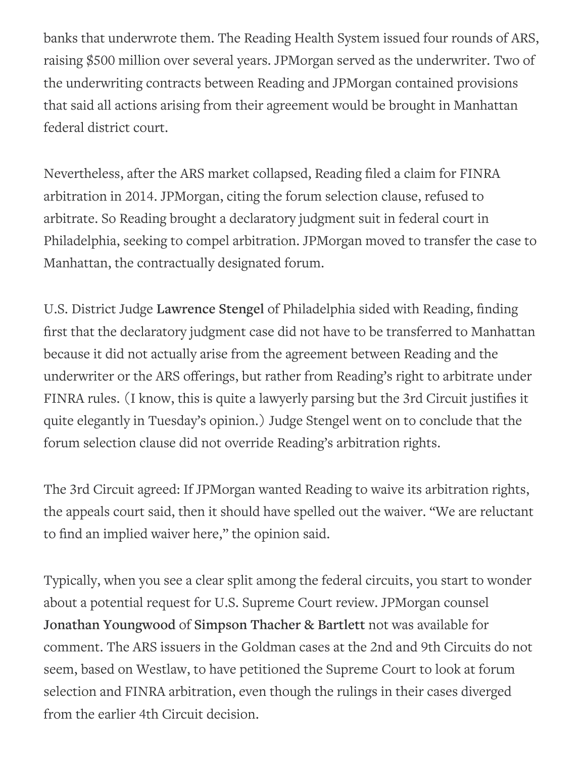banks that underwrote them. The Reading Health System issued four rounds of ARS, raising \$500 million over several years. JPMorgan served as the underwriter. Two of the underwriting contracts between Reading and JPMorgan contained provisions that said all actions arising from their agreement would be brought in Manhattan federal district court.

Nevertheless, after the ARS market collapsed, Reading filed a claim for FINRA arbitration in 2014. JPMorgan, citing the forum selection clause, refused to arbitrate. So Reading brought a declaratory judgment suit in federal court in Philadelphia, seeking to compel arbitration. JPMorgan moved to transfer the case to Manhattan, the contractually designated forum.

U.S. District Judge Lawrence Stengel of Philadelphia sided with Reading, finding first that the declaratory judgment case did not have to be transferred to Manhattan because it did not actually arise from the agreement between Reading and the underwriter or the ARS offerings, but rather from Reading's right to arbitrate under FINRA rules. (I know, this is quite a lawyerly parsing but the 3rd Circuit justifies it quite elegantly in Tuesday's opinion.) Judge Stengel went on to conclude that the forum selection clause did not override Reading's arbitration rights.

The 3rd Circuit agreed: If JPMorgan wanted Reading to waive its arbitration rights, the appeals court said, then it should have spelled out the waiver. "We are reluctant to find an implied waiver here," the opinion said.

Typically, when you see a clear split among the federal circuits, you start to wonder about a potential request for U.S. Supreme Court review. JPMorgan counsel Jonathan Youngwood of Simpson Thacher & Bartlett not was available for comment. The ARS issuers in the Goldman cases at the 2nd and 9th Circuits do not seem, based on Westlaw, to have petitioned the Supreme Court to look at forum selection and FINRA arbitration, even though the rulings in their cases diverged from the earlier 4th Circuit decision.